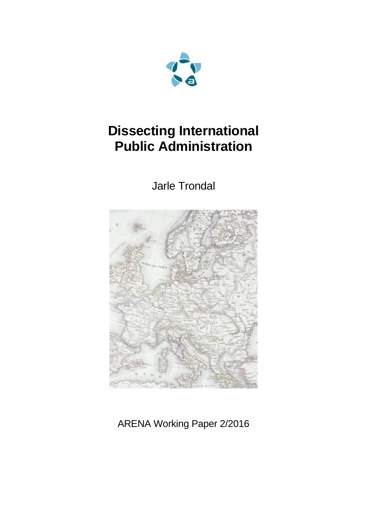

# **Dissecting International Public Administration**

Jarle Trondal



ARENA Working Paper 2/2016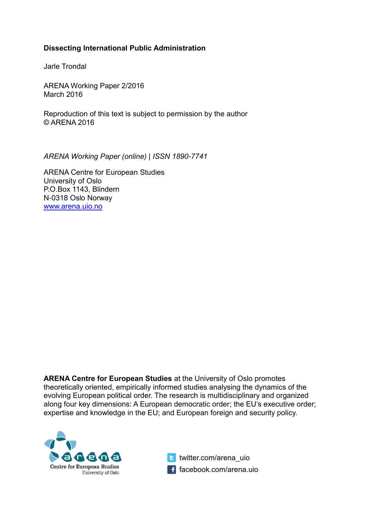#### **Dissecting International Public Administration**

Jarle Trondal

ARENA Working Paper 2/2016 March 2016

Reproduction of this text is subject to permission by the author © ARENA 2016

*ARENA Working Paper (online) | ISSN 1890-7741*

ARENA Centre for European Studies University of Oslo P.O.Box 1143, Blindern N-0318 Oslo Norway [www.arena.uio.no](http://www.arena.uio.no/)

**ARENA Centre for European Studies** at the University of Oslo promotes theoretically oriented, empirically informed studies analysing the dynamics of the evolving European political order. The research is multidisciplinary and organized along four key dimensions: A European democratic order; the EU's executive order; expertise and knowledge in the EU; and European foreign and security policy.



**te** twitter.com/arena\_uio f facebook.com/arena.uio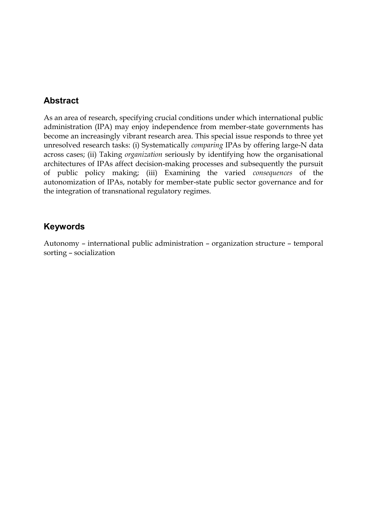#### **Abstract**

As an area of research, specifying crucial conditions under which international public administration (IPA) may enjoy independence from member-state governments has become an increasingly vibrant research area. This special issue responds to three yet unresolved research tasks: (i) Systematically *comparing* IPAs by offering large-N data across cases; (ii) Taking *organization* seriously by identifying how the organisational architectures of IPAs affect decision-making processes and subsequently the pursuit of public policy making; (iii) Examining the varied *consequences* of the autonomization of IPAs, notably for member-state public sector governance and for the integration of transnational regulatory regimes.

#### **Keywords**

Autonomy – international public administration – organization structure – temporal sorting – socialization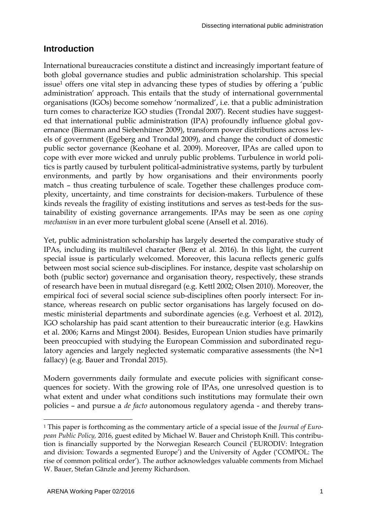### **Introduction**

International bureaucracies constitute a distinct and increasingly important feature of both global governance studies and public administration scholarship. This special issue<sup>1</sup> offers one vital step in advancing these types of studies by offering a 'public administration' approach. This entails that the study of international governmental organisations (IGOs) become somehow 'normalized', i.e. that a public administration turn comes to characterize IGO studies (Trondal 2007). Recent studies have suggested that international public administration (IPA) profoundly influence global governance (Biermann and Siebenhüner 2009), transform power distributions across levels of government (Egeberg and Trondal 2009), and change the conduct of domestic public sector governance (Keohane et al. 2009). Moreover, IPAs are called upon to cope with ever more wicked and unruly public problems. Turbulence in world politics is partly caused by turbulent political-administrative systems, partly by turbulent environments, and partly by how organisations and their environments poorly match – thus creating turbulence of scale. Together these challenges produce complexity, uncertainty, and time constraints for decision-makers. Turbulence of these kinds reveals the fragility of existing institutions and serves as test-beds for the sustainability of existing governance arrangements. IPAs may be seen as one *coping mechanism* in an ever more turbulent global scene (Ansell et al. 2016).

Yet, public administration scholarship has largely deserted the comparative study of IPAs, including its multilevel character (Benz et al. 2016). In this light, the current special issue is particularly welcomed. Moreover, this lacuna reflects generic gulfs between most social science sub-disciplines. For instance, despite vast scholarship on both (public sector) governance and organisation theory, respectively, these strands of research have been in mutual disregard (e.g. Kettl 2002; Olsen 2010). Moreover, the empirical foci of several social science sub-disciplines often poorly intersect: For instance, whereas research on public sector organisations has largely focused on domestic ministerial departments and subordinate agencies (e.g. Verhoest et al. 2012), IGO scholarship has paid scant attention to their bureaucratic interior (e.g. Hawkins et al. 2006; Karns and Mingst 2004). Besides, European Union studies have primarily been preoccupied with studying the European Commission and subordinated regulatory agencies and largely neglected systematic comparative assessments (the N=1 fallacy) (e.g. Bauer and Trondal 2015).

Modern governments daily formulate and execute policies with significant consequences for society. With the growing role of IPAs, one unresolved question is to what extent and under what conditions such institutions may formulate their own policies – and pursue a *de facto* autonomous regulatory agenda - and thereby trans-

 $\overline{a}$ <sup>1</sup> This paper is forthcoming as the commentary article of a special issue of the *Journal of European Public Policy,* 2016, guest edited by Michael W. Bauer and Christoph Knill. This contribution is financially supported by the Norwegian Research Council ('EURODIV: Integration and division: Towards a segmented Europe') and the University of Agder ('COMPOL: The rise of common political order'). The author acknowledges valuable comments from Michael W. Bauer, Stefan Gänzle and Jeremy Richardson.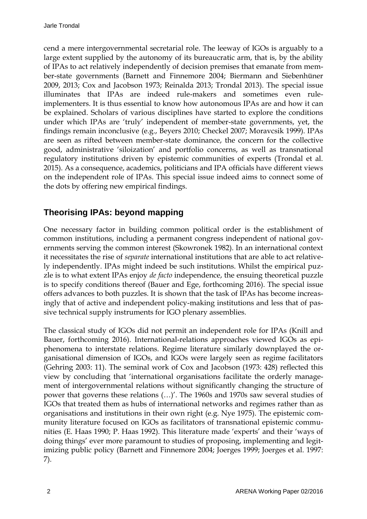cend a mere intergovernmental secretarial role. The leeway of IGOs is arguably to a large extent supplied by the autonomy of its bureaucratic arm, that is, by the ability of IPAs to act relatively independently of decision premises that emanate from member-state governments (Barnett and Finnemore 2004; Biermann and Siebenhüner 2009, 2013; Cox and Jacobson 1973; Reinalda 2013; Trondal 2013). The special issue illuminates that IPAs are indeed rule-makers and sometimes even ruleimplementers. It is thus essential to know how autonomous IPAs are and how it can be explained. Scholars of various disciplines have started to explore the conditions under which IPAs are 'truly' independent of member-state governments, yet, the findings remain inconclusive (e.g., Beyers 2010; Checkel 2007; Moravcsik 1999). IPAs are seen as rifted between member-state dominance, the concern for the collective good, administrative 'siloization' and portfolio concerns, as well as transnational regulatory institutions driven by epistemic communities of experts (Trondal et al. 2015). As a consequence, academics, politicians and IPA officials have different views on the independent role of IPAs. This special issue indeed aims to connect some of the dots by offering new empirical findings.

### **Theorising IPAs: beyond mapping**

One necessary factor in building common political order is the establishment of common institutions, including a permanent congress independent of national governments serving the common interest (Skowronek 1982). In an international context it necessitates the rise of *separate* international institutions that are able to act relatively independently. IPAs might indeed be such institutions. Whilst the empirical puzzle is to what extent IPAs enjoy *de facto* independence, the ensuing theoretical puzzle is to specify conditions thereof (Bauer and Ege, forthcoming 2016). The special issue offers advances to both puzzles. It is shown that the task of IPAs has become increasingly that of active and independent policy-making institutions and less that of passive technical supply instruments for IGO plenary assemblies.

The classical study of IGOs did not permit an independent role for IPAs (Knill and Bauer, forthcoming 2016). International-relations approaches viewed IGOs as epiphenomena to interstate relations. Regime literature similarly downplayed the organisational dimension of IGOs, and IGOs were largely seen as regime facilitators (Gehring 2003: 11). The seminal work of Cox and Jacobson (1973: 428) reflected this view by concluding that 'international organisations facilitate the orderly management of intergovernmental relations without significantly changing the structure of power that governs these relations (…)'. The 1960s and 1970s saw several studies of IGOs that treated them as hubs of international networks and regimes rather than as organisations and institutions in their own right (e.g. Nye 1975). The epistemic community literature focused on IGOs as facilitators of transnational epistemic communities (E. Haas 1990; P. Haas 1992). This literature made 'experts' and their 'ways of doing things' ever more paramount to studies of proposing, implementing and legitimizing public policy (Barnett and Finnemore 2004; Joerges 1999; Joerges et al. 1997: 7).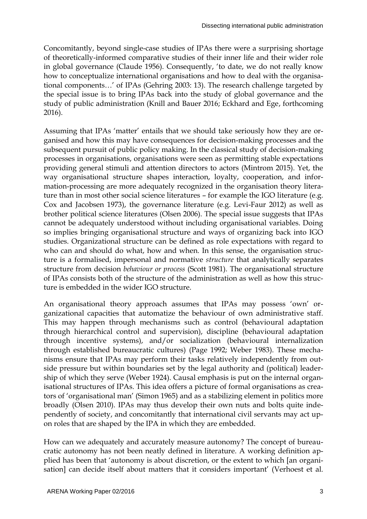Concomitantly, beyond single-case studies of IPAs there were a surprising shortage of theoretically-informed comparative studies of their inner life and their wider role in global governance (Claude 1956). Consequently, 'to date, we do not really know how to conceptualize international organisations and how to deal with the organisational components…' of IPAs (Gehring 2003: 13). The research challenge targeted by the special issue is to bring IPAs back into the study of global governance and the study of public administration (Knill and Bauer 2016; Eckhard and Ege, forthcoming 2016).

Assuming that IPAs 'matter' entails that we should take seriously how they are organised and how this may have consequences for decision-making processes and the subsequent pursuit of public policy making. In the classical study of decision-making processes in organisations, organisations were seen as permitting stable expectations providing general stimuli and attention directors to actors (Mintrom 2015). Yet, the way organisational structure shapes interaction, loyalty, cooperation, and information-processing are more adequately recognized in the organisation theory literature than in most other social science literatures – for example the IGO literature (e.g. Cox and Jacobsen 1973), the governance literature (e.g. Levi-Faur 2012) as well as brother political science literatures (Olsen 2006). The special issue suggests that IPAs cannot be adequately understood without including organisational variables. Doing so implies bringing organisational structure and ways of organizing back into IGO studies. Organizational structure can be defined as role expectations with regard to who can and should do what, how and when. In this sense, the organisation structure is a formalised, impersonal and normative *structure* that analytically separates structure from decision *behaviour or process* (Scott 1981). The organisational structure of IPAs consists both of the structure of the administration as well as how this structure is embedded in the wider IGO structure.

An organisational theory approach assumes that IPAs may possess 'own' organizational capacities that automatize the behaviour of own administrative staff. This may happen through mechanisms such as control (behavioural adaptation through hierarchical control and supervision), discipline (behavioural adaptation through incentive systems), and/or socialization (behavioural internalization through established bureaucratic cultures) (Page 1992; Weber 1983). These mechanisms ensure that IPAs may perform their tasks relatively independently from outside pressure but within boundaries set by the legal authority and (political) leadership of which they serve (Weber 1924). Causal emphasis is put on the internal organisational structures of IPAs. This idea offers a picture of formal organisations as creators of 'organisational man' (Simon 1965) and as a stabilizing element in politics more broadly (Olsen 2010). IPAs may thus develop their own nuts and bolts quite independently of society, and concomitantly that international civil servants may act upon roles that are shaped by the IPA in which they are embedded.

How can we adequately and accurately measure autonomy? The concept of bureaucratic autonomy has not been neatly defined in literature. A working definition applied has been that 'autonomy is about discretion, or the extent to which [an organisation] can decide itself about matters that it considers important' (Verhoest et al.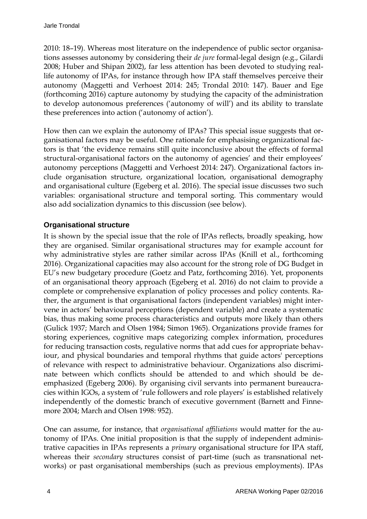2010: 18–19). Whereas most literature on the independence of public sector organisations assesses autonomy by considering their *de jure* formal-legal design (e.g., Gilardi 2008; Huber and Shipan 2002), far less attention has been devoted to studying reallife autonomy of IPAs, for instance through how IPA staff themselves perceive their autonomy (Maggetti and Verhoest 2014: 245; Trondal 2010: 147). Bauer and Ege (forthcoming 2016) capture autonomy by studying the capacity of the administration to develop autonomous preferences ('autonomy of will') and its ability to translate these preferences into action ('autonomy of action').

How then can we explain the autonomy of IPAs? This special issue suggests that organisational factors may be useful. One rationale for emphasising organizational factors is that 'the evidence remains still quite inconclusive about the effects of formal structural-organisational factors on the autonomy of agencies' and their employees' autonomy perceptions (Maggetti and Verhoest 2014: 247). Organizational factors include organisation structure, organizational location, organisational demography and organisational culture (Egeberg et al. 2016). The special issue discusses two such variables: organisational structure and temporal sorting. This commentary would also add socialization dynamics to this discussion (see below).

#### **Organisational structure**

It is shown by the special issue that the role of IPAs reflects, broadly speaking, how they are organised. Similar organisational structures may for example account for why administrative styles are rather similar across IPAs (Knill et al., forthcoming 2016). Organizational capacities may also account for the strong role of DG Budget in EU's new budgetary procedure (Goetz and Patz, forthcoming 2016). Yet, proponents of an organisational theory approach (Egeberg et al. 2016) do not claim to provide a complete or comprehensive explanation of policy processes and policy contents. Rather, the argument is that organisational factors (independent variables) might intervene in actors' behavioural perceptions (dependent variable) and create a systematic bias, thus making some process characteristics and outputs more likely than others (Gulick 1937; March and Olsen 1984; Simon 1965). Organizations provide frames for storing experiences, cognitive maps categorizing complex information, procedures for reducing transaction costs, regulative norms that add cues for appropriate behaviour, and physical boundaries and temporal rhythms that guide actors' perceptions of relevance with respect to administrative behaviour. Organizations also discriminate between which conflicts should be attended to and which should be deemphasized (Egeberg 2006). By organising civil servants into permanent bureaucracies within IGOs, a system of 'rule followers and role players' is established relatively independently of the domestic branch of executive government (Barnett and Finnemore 2004; March and Olsen 1998: 952).

One can assume, for instance, that *organisational affiliations* would matter for the autonomy of IPAs. One initial proposition is that the supply of independent administrative capacities in IPAs represents a *primary* organisational structure for IPA staff, whereas their *secondary* structures consist of part-time (such as transnational networks) or past organisational memberships (such as previous employments). IPAs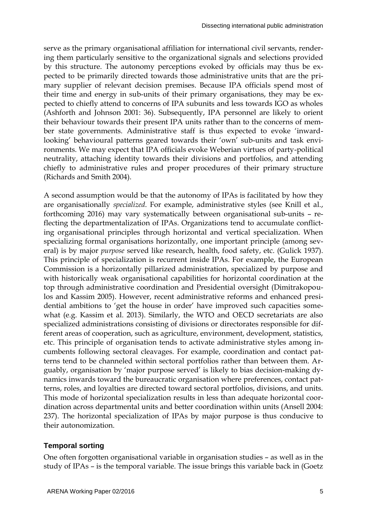serve as the primary organisational affiliation for international civil servants, rendering them particularly sensitive to the organizational signals and selections provided by this structure. The autonomy perceptions evoked by officials may thus be expected to be primarily directed towards those administrative units that are the primary supplier of relevant decision premises. Because IPA officials spend most of their time and energy in sub-units of their primary organisations, they may be expected to chiefly attend to concerns of IPA subunits and less towards IGO as wholes (Ashforth and Johnson 2001: 36). Subsequently, IPA personnel are likely to orient their behaviour towards their present IPA units rather than to the concerns of member state governments. Administrative staff is thus expected to evoke 'inwardlooking' behavioural patterns geared towards their 'own' sub-units and task environments. We may expect that IPA officials evoke Weberian virtues of party-political neutrality, attaching identity towards their divisions and portfolios, and attending chiefly to administrative rules and proper procedures of their primary structure (Richards and Smith 2004).

A second assumption would be that the autonomy of IPAs is facilitated by how they are organisationally *specialized*. For example, administrative styles (see Knill et al., forthcoming 2016) may vary systematically between organisational sub-units – reflecting the departmentalization of IPAs. Organizations tend to accumulate conflicting organisational principles through horizontal and vertical specialization. When specializing formal organisations horizontally, one important principle (among several) is by major *purpose* served like research, health, food safety, etc. (Gulick 1937). This principle of specialization is recurrent inside IPAs. For example, the European Commission is a horizontally pillarized administration, specialized by purpose and with historically weak organisational capabilities for horizontal coordination at the top through administrative coordination and Presidential oversight (Dimitrakopoulos and Kassim 2005). However, recent administrative reforms and enhanced presidential ambitions to 'get the house in order' have improved such capacities somewhat (e.g. Kassim et al. 2013). Similarly, the WTO and OECD secretariats are also specialized administrations consisting of divisions or directorates responsible for different areas of cooperation, such as agriculture, environment, development, statistics, etc. This principle of organisation tends to activate administrative styles among incumbents following sectoral cleavages. For example, coordination and contact patterns tend to be channeled within sectoral portfolios rather than between them. Arguably, organisation by 'major purpose served' is likely to bias decision-making dynamics inwards toward the bureaucratic organisation where preferences, contact patterns, roles, and loyalties are directed toward sectoral portfolios, divisions, and units. This mode of horizontal specialization results in less than adequate horizontal coordination across departmental units and better coordination within units (Ansell 2004: 237). The horizontal specialization of IPAs by major purpose is thus conducive to their autonomization.

#### **Temporal sorting**

One often forgotten organisational variable in organisation studies – as well as in the study of IPAs – is the temporal variable. The issue brings this variable back in (Goetz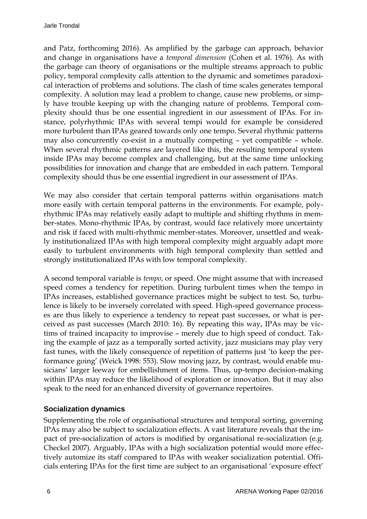and Patz, forthcoming 2016). As amplified by the garbage can approach, behavior and change in organisations have a *temporal dimension* (Cohen et al. 1976)*.* As with the garbage can theory of organisations or the multiple streams approach to public policy, temporal complexity calls attention to the dynamic and sometimes paradoxical interaction of problems and solutions. The clash of time scales generates temporal complexity. A solution may lead a problem to change, cause new problems, or simply have trouble keeping up with the changing nature of problems. Temporal complexity should thus be one essential ingredient in our assessment of IPAs. For instance, polyrhythmic IPAs with several tempi would for example be considered more turbulent than IPAs geared towards only one tempo. Several rhythmic patterns may also concurrently co-exist in a mutually competing – yet compatible – whole. When several rhythmic patterns are layered like this, the resulting temporal system inside IPAs may become complex and challenging, but at the same time unlocking possibilities for innovation and change that are embedded in each pattern. Temporal complexity should thus be one essential ingredient in our assessment of IPAs.

We may also consider that certain temporal patterns within organisations match more easily with certain temporal patterns in the environments. For example, polyrhythmic IPAs may relatively easily adapt to multiple and shifting rhythms in member-states. Mono-rhythmic IPAs, by contrast, would face relatively more uncertainty and risk if faced with multi-rhythmic member-states. Moreover, unsettled and weakly institutionalized IPAs with high temporal complexity might arguably adapt more easily to turbulent environments with high temporal complexity than settled and strongly institutionalized IPAs with low temporal complexity.

A second temporal variable is *tempo*, or speed. One might assume that with increased speed comes a tendency for repetition. During turbulent times when the tempo in IPAs increases, established governance practices might be subject to test. So, turbulence is likely to be inversely correlated with speed. High-speed governance processes are thus likely to experience a tendency to repeat past successes, or what is perceived as past successes (March 2010: 16). By repeating this way, IPAs may be victims of trained incapacity to improvise – merely due to high speed of conduct. Taking the example of jazz as a temporally sorted activity, jazz musicians may play very fast tunes, with the likely consequence of repetition of patterns just 'to keep the performance going' (Weick 1998: 553). Slow moving jazz, by contrast, would enable musicians' larger leeway for embellishment of items. Thus, up-tempo decision-making within IPAs may reduce the likelihood of exploration or innovation. But it may also speak to the need for an enhanced diversity of governance repertoires.

#### **Socialization dynamics**

Supplementing the role of organisational structures and temporal sorting, governing IPAs may also be subject to socialization effects. A vast literature reveals that the impact of pre-socialization of actors is modified by organisational re-socialization (e.g. Checkel 2007). Arguably, IPAs with a high socialization potential would more effectively automize its staff compared to IPAs with weaker socialization potential. Officials entering IPAs for the first time are subject to an organisational 'exposure effect'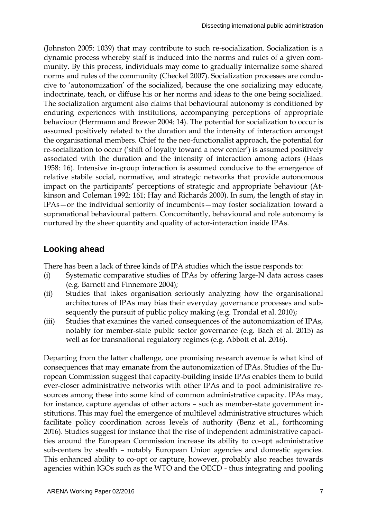(Johnston 2005: 1039) that may contribute to such re-socialization. Socialization is a dynamic process whereby staff is induced into the norms and rules of a given community. By this process, individuals may come to gradually internalize some shared norms and rules of the community (Checkel 2007). Socialization processes are conducive to 'autonomization' of the socialized, because the one socializing may educate, indoctrinate, teach, or diffuse his or her norms and ideas to the one being socialized. The socialization argument also claims that behavioural autonomy is conditioned by enduring experiences with institutions, accompanying perceptions of appropriate behaviour (Herrmann and Brewer 2004: 14). The potential for socialization to occur is assumed positively related to the duration and the intensity of interaction amongst the organisational members. Chief to the neo-functionalist approach, the potential for re-socialization to occur ('shift of loyalty toward a new center') is assumed positively associated with the duration and the intensity of interaction among actors (Haas 1958: 16). Intensive in-group interaction is assumed conducive to the emergence of relative stabile social, normative, and strategic networks that provide autonomous impact on the participants' perceptions of strategic and appropriate behaviour (Atkinson and Coleman 1992: 161; Hay and Richards 2000). In sum, the length of stay in IPAs—or the individual seniority of incumbents—may foster socialization toward a supranational behavioural pattern. Concomitantly, behavioural and role autonomy is nurtured by the sheer quantity and quality of actor-interaction inside IPAs.

#### **Looking ahead**

There has been a lack of three kinds of IPA studies which the issue responds to:

- (i) Systematic comparative studies of IPAs by offering large-N data across cases (e.g. Barnett and Finnemore 2004);
- (ii) Studies that takes organisation seriously analyzing how the organisational architectures of IPAs may bias their everyday governance processes and subsequently the pursuit of public policy making (e.g. Trondal et al. 2010);
- (iii) Studies that examines the varied consequences of the autonomization of IPAs, notably for member-state public sector governance (e.g. Bach et al. 2015) as well as for transnational regulatory regimes (e.g. Abbott et al. 2016).

Departing from the latter challenge, one promising research avenue is what kind of consequences that may emanate from the autonomization of IPAs. Studies of the European Commission suggest that capacity-building inside IPAs enables them to build ever-closer administrative networks with other IPAs and to pool administrative resources among these into some kind of common administrative capacity. IPAs may, for instance, capture agendas of other actors – such as member-state government institutions. This may fuel the emergence of multilevel administrative structures which facilitate policy coordination across levels of authority (Benz et al., forthcoming 2016). Studies suggest for instance that the rise of independent administrative capacities around the European Commission increase its ability to co-opt administrative sub-centers by stealth – notably European Union agencies and domestic agencies. This enhanced ability to co-opt or capture, however, probably also reaches towards agencies within IGOs such as the WTO and the OECD - thus integrating and pooling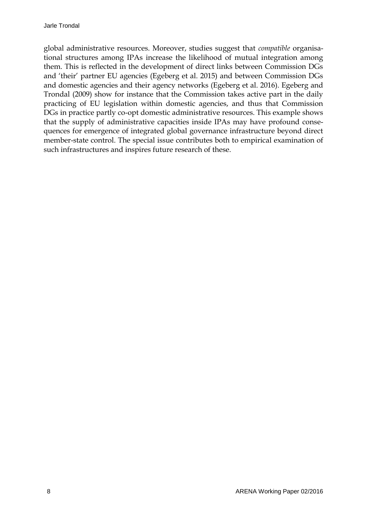global administrative resources. Moreover, studies suggest that *compatible* organisational structures among IPAs increase the likelihood of mutual integration among them. This is reflected in the development of direct links between Commission DGs and 'their' partner EU agencies (Egeberg et al. 2015) and between Commission DGs and domestic agencies and their agency networks (Egeberg et al. 2016). Egeberg and Trondal (2009) show for instance that the Commission takes active part in the daily practicing of EU legislation within domestic agencies, and thus that Commission DGs in practice partly co-opt domestic administrative resources. This example shows that the supply of administrative capacities inside IPAs may have profound consequences for emergence of integrated global governance infrastructure beyond direct member-state control. The special issue contributes both to empirical examination of such infrastructures and inspires future research of these.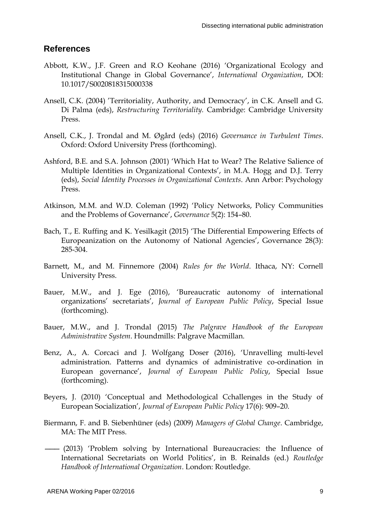#### **References**

- Abbott, K.W., J.F. Green and R.O Keohane (2016) 'Organizational Ecology and Institutional Change in Global Governance', *International Organization*, DOI: 10.1017/S0020818315000338
- Ansell, C.K. (2004) 'Territoriality, Authority, and Democracy', in C.K. Ansell and G. Di Palma (eds), *Restructuring Territoriality.* Cambridge: Cambridge University Press.
- Ansell, C.K., J. Trondal and M. Øgård (eds) (2016) *Governance in Turbulent Times*. Oxford: Oxford University Press (forthcoming).
- Ashford, B.E. and S.A. Johnson (2001) 'Which Hat to Wear? The Relative Salience of Multiple Identities in Organizational Contexts', in M.A. Hogg and D.J. Terry (eds), *Social Identity Processes in Organizational Contexts*. Ann Arbor: Psychology Press.
- Atkinson, M.M. and W.D. Coleman (1992) 'Policy Networks, Policy Communities and the Problems of Governance', *Governance* 5(2): 154–80.
- Bach, T., E. Ruffing and K. Yesilkagit (2015) 'The Differential Empowering Effects of Europeanization on the Autonomy of National Agencies', Governance 28(3): 285-304.
- Barnett, M., and M. Finnemore (2004) *Rules for the World*. Ithaca, NY: Cornell University Press.
- Bauer, M.W., and J. Ege (2016), 'Bureaucratic autonomy of international organizations' secretariats', *Journal of European Public Policy*, Special Issue (forthcoming).
- Bauer, M.W., and J. Trondal (2015) *The Palgrave Handbook of the European Administrative System*. Houndmills: Palgrave Macmillan.
- Benz, A., A. Corcaci and J. Wolfgang Doser (2016), 'Unravelling multi-level administration. Patterns and dynamics of administrative co-ordination in European governance', *Journal of European Public Policy*, Special Issue (forthcoming).
- Beyers, J. (2010) 'Conceptual and Methodological Cchallenges in the Study of European Socialization', *Journal of European Public Policy* 17(6): 909–20.
- Biermann, F. and B. Siebenhüner (eds) (2009) *Managers of Global Change*. Cambridge, MA: The MIT Press.
- ——— (2013) 'Problem solving by International Bureaucracies: the Influence of International Secretariats on World Politics', in B. Reinalds (ed.) *Routledge Handbook of International Organization*. London: Routledge.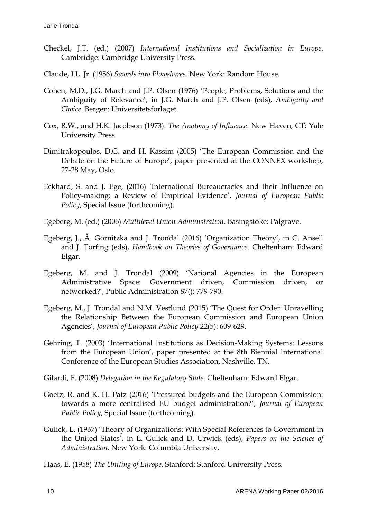- Checkel, J.T. (ed.) (2007) *International Institutions and Socialization in Europe*. Cambridge: Cambridge University Press.
- Claude, I.L. Jr. (1956) *Swords into Plowshares*. New York: Random House.
- Cohen, M.D., J.G. March and J.P. Olsen (1976) 'People, Problems, Solutions and the Ambiguity of Relevance', in J.G. March and J.P. Olsen (eds), *Ambiguity and Choice*. Bergen: Universitetsforlaget.
- Cox, R.W., and H.K. Jacobson (1973). *The Anatomy of Influence*. New Haven, CT: Yale University Press.
- Dimitrakopoulos, D.G. and H. Kassim (2005) 'The European Commission and the Debate on the Future of Europe', paper presented at the CONNEX workshop, 27-28 May, Oslo.
- Eckhard, S. and J. Ege, (2016) 'International Bureaucracies and their Influence on Policy-making: a Review of Empirical Evidence', *Journal of European Public Policy*, Special Issue (forthcoming).
- Egeberg, M. (ed.) (2006) *Multilevel Union Administration*. Basingstoke: Palgrave.
- Egeberg, J., Å. Gornitzka and J. Trondal (2016) 'Organization Theory', in C. Ansell and J. Torfing (eds), *Handbook on Theories of Governance*. Cheltenham: Edward Elgar.
- Egeberg, M. and J. Trondal (2009) 'National Agencies in the European Administrative Space: Government driven, Commission driven, or networked?', Public Administration 87(): 779-790.
- Egeberg, M., J. Trondal and N.M. Vestlund (2015) 'The Quest for Order: Unravelling the Relationship Between the European Commission and European Union Agencies', *Journal of European Public Policy* 22(5): 609-629.
- Gehring, T. (2003) 'International Institutions as Decision-Making Systems: Lessons from the European Union', paper presented at the 8th Biennial International Conference of the European Studies Association, Nashville, TN.
- Gilardi, F. (2008) *Delegation in the Regulatory State.* Cheltenham: Edward Elgar.
- Goetz, R. and K. H. Patz (2016) 'Pressured budgets and the European Commission: towards a more centralised EU budget administration?', *Journal of European Public Policy*, Special Issue (forthcoming).
- Gulick, L. (1937) 'Theory of Organizations: With Special References to Government in the United States', in L. Gulick and D. Urwick (eds), *Papers on the Science of Administration*. New York: Columbia University.
- Haas, E. (1958) *The Uniting of Europe*. Stanford: Stanford University Press.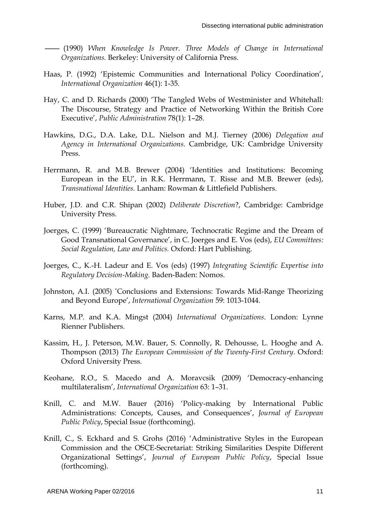——— (1990) *When Knowledge Is Power. Three Models of Change in International Organizations.* Berkeley: University of California Press.

- Haas, P. (1992) 'Epistemic Communities and International Policy Coordination', *International Organization* 46(1): 1-35.
- Hay, C. and D. Richards (2000) 'The Tangled Webs of Westminister and Whitehall: The Discourse, Strategy and Practice of Networking Within the British Core Executive', *Public Administration* 78(1): 1–28.
- Hawkins, D.G., D.A. Lake, D.L. Nielson and M.J. Tierney (2006) *Delegation and Agency in International Organizations*. Cambridge, UK: Cambridge University Press.
- Herrmann, R. and M.B. Brewer (2004) 'Identities and Institutions: Becoming European in the EU', in R.K. Herrmann, T. Risse and M.B. Brewer (eds), *Transnational Identities.* Lanham: Rowman & Littlefield Publishers.
- Huber, J.D. and C.R. Shipan (2002) *Deliberate Discretion*?, Cambridge: Cambridge University Press.
- Joerges, C. (1999) 'Bureaucratic Nightmare, Technocratic Regime and the Dream of Good Transnational Governance', in C. Joerges and E. Vos (eds), *EU Committees: Social Regulation, Law and Politics.* Oxford: Hart Publishing.
- Joerges, C., K.-H. Ladeur and E. Vos (eds) (1997) *Integrating Scientific Expertise into Regulatory Decision-Making.* Baden-Baden: Nomos.
- Johnston, A.I. (2005) 'Conclusions and Extensions: Towards Mid-Range Theorizing and Beyond Europe', *International Organization* 59: 1013-1044.
- Karns, M.P. and K.A. Mingst (2004) *International Organizations*. London: Lynne Rienner Publishers.
- Kassim, H., J. Peterson, M.W. Bauer, S. Connolly, R. Dehousse, L. Hooghe and A. Thompson (2013) *The European Commission of the Twenty-First Century*. Oxford: Oxford University Press.
- Keohane, R.O., S. Macedo and A. Moravcsik (2009) 'Democracy-enhancing multilateralism', *International Organization* 63: 1–31.
- Knill, C. and M.W. Bauer (2016) 'Policy-making by International Public Administrations: Concepts, Causes, and Consequences', *Journal of European Public Policy*, Special Issue (forthcoming).
- Knill, C., S. Eckhard and S. Grohs (2016) 'Administrative Styles in the European Commission and the OSCE-Secretariat: Striking Similarities Despite Different Organizational Settings', *Journal of European Public Policy*, Special Issue (forthcoming).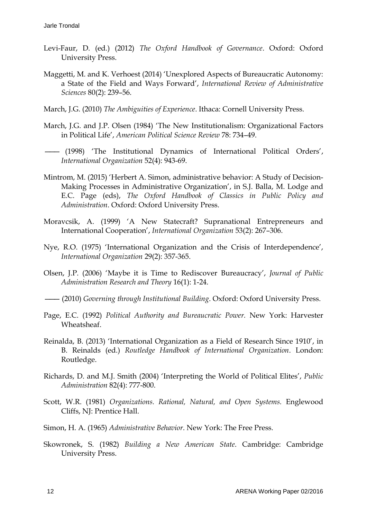- Levi-Faur, D. (ed.) (2012) *The Oxford Handbook of Governance*. Oxford: Oxford University Press.
- Maggetti, M. and K. Verhoest (2014) 'Unexplored Aspects of Bureaucratic Autonomy: a State of the Field and Ways Forward', *International Review of Administrative Sciences* 80(2): 239–56.
- March, J.G. (2010) *The Ambiguities of Experience*. Ithaca: Cornell University Press.
- March, J.G. and J.P. Olsen (1984) 'The New Institutionalism: Organizational Factors in Political Life', *American Political Science Review* 78: 734–49.
- ——— (1998) 'The Institutional Dynamics of International Political Orders', *International Organization* 52(4): 943-69.
- Mintrom, M. (2015) 'Herbert A. Simon, administrative behavior: A Study of Decision-Making Processes in Administrative Organization', in S.J. Balla, M. Lodge and E.C. Page (eds), *The Oxford Handbook of Classics in Public Policy and Administration*. Oxford: Oxford University Press.
- Moravcsik, A. (1999) 'A New Statecraft? Supranational Entrepreneurs and International Cooperation', *International Organization* 53(2): 267–306.
- Nye, R.O. (1975) 'International Organization and the Crisis of Interdependence', *International Organization* 29(2): 357-365.
- Olsen, J.P. (2006) 'Maybe it is Time to Rediscover Bureaucracy', *Journal of Public Administration Research and Theory* 16(1): 1-24.

———(2010) *Governing through Institutional Building*. Oxford: Oxford University Press.

- Page, E.C. (1992) *Political Authority and Bureaucratic Power.* New York: Harvester Wheatsheaf.
- Reinalda, B. (2013) 'International Organization as a Field of Research Since 1910', in B. Reinalds (ed.) *Routledge Handbook of International Organization*. London: Routledge.
- Richards, D. and M.J. Smith (2004) 'Interpreting the World of Political Elites', *Public Administration* 82(4): 777-800.
- Scott, W.R. (1981) *Organizations. Rational, Natural, and Open Systems.* Englewood Cliffs, NJ: Prentice Hall.
- Simon, H. A. (1965) *Administrative Behavior*. New York: The Free Press.
- Skowronek, S. (1982) *Building a New American State*. Cambridge: Cambridge University Press.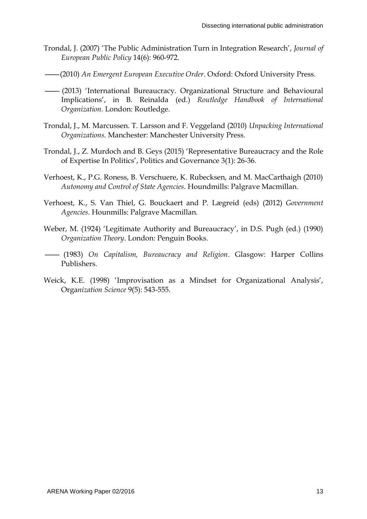- Trondal, J. (2007) 'The Public Administration Turn in Integration Research', *Journal of European Public Policy* 14(6): 960-972.
- ———(2010) *An Emergent European Executive Order*. Oxford: Oxford University Press.
- ———(2013) 'International Bureaucracy. Organizational Structure and Behavioural Implications', in B. Reinalda (ed.) *Routledge Handbook of International Organization*. London: Routledge.
- Trondal, J., M. Marcussen. T. Larsson and F. Veggeland (2010) *Unpacking International Organizations*. Manchester: Manchester University Press.
- Trondal, J., Z. Murdoch and B. Geys (2015) 'Representative Bureaucracy and the Role of Expertise In Politics', Politics and Governance 3(1): 26-36.
- Verhoest, K., P.G. Roness, B. Verschuere, K. Rubecksen, and M. MacCarthaigh (2010) *Autonomy and Control of State Agencies*. Houndmills: Palgrave Macmillan.
- Verhoest, K., S. Van Thiel, G. Bouckaert and P. Lægreid (eds) (2012) *Government Agencies*. Hounmills: Palgrave Macmillan.
- Weber, M. (1924) 'Legitimate Authority and Bureaucracy', in D.S. Pugh (ed.) (1990) *Organization Theory*. London: Penguin Books.
- ——— (1983) *On Capitalism, Bureaucracy and Religion*. Glasgow: Harper Collins Publishers.
- Weick, K.E. (1998) 'Improvisation as a Mindset for Organizational Analysis', Orga*nization Science* 9(5): 543-555.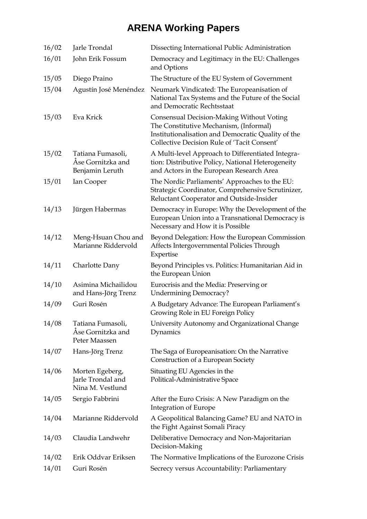| 16/02 | Jarle Trondal                                             | Dissecting International Public Administration                                                                                                                                           |
|-------|-----------------------------------------------------------|------------------------------------------------------------------------------------------------------------------------------------------------------------------------------------------|
| 16/01 | John Erik Fossum                                          | Democracy and Legitimacy in the EU: Challenges<br>and Options                                                                                                                            |
| 15/05 | Diego Praino                                              | The Structure of the EU System of Government                                                                                                                                             |
| 15/04 | Agustín José Menéndez                                     | Neumark Vindicated: The Europeanisation of<br>National Tax Systems and the Future of the Social<br>and Democratic Rechtsstaat                                                            |
| 15/03 | Eva Krick                                                 | Consensual Decision-Making Without Voting<br>The Constitutive Mechanism, (Informal)<br>Institutionalisation and Democratic Quality of the<br>Collective Decision Rule of 'Tacit Consent' |
| 15/02 | Tatiana Fumasoli,<br>Ase Gornitzka and<br>Benjamin Leruth | A Multi-level Approach to Differentiated Integra-<br>tion: Distributive Policy, National Heterogeneity<br>and Actors in the European Research Area                                       |
| 15/01 | Ian Cooper                                                | The Nordic Parliaments' Approaches to the EU:<br>Strategic Coordinator, Comprehensive Scrutinizer,<br>Reluctant Cooperator and Outside-Insider                                           |
| 14/13 | Jürgen Habermas                                           | Democracy in Europe: Why the Development of the<br>European Union into a Transnational Democracy is<br>Necessary and How it is Possible                                                  |
| 14/12 | Meng-Hsuan Chou and<br>Marianne Riddervold                | Beyond Delegation: How the European Commission<br>Affects Intergovernmental Policies Through<br>Expertise                                                                                |
| 14/11 | Charlotte Dany                                            | Beyond Principles vs. Politics: Humanitarian Aid in<br>the European Union                                                                                                                |
| 14/10 | Asimina Michailidou<br>and Hans-Jörg Trenz                | Eurocrisis and the Media: Preserving or<br><b>Undermining Democracy?</b>                                                                                                                 |
| 14/09 | Guri Rosén                                                | A Budgetary Advance: The European Parliament's<br>Growing Role in EU Foreign Policy                                                                                                      |
| 14/08 | Tatiana Fumasoli,<br>Åse Gornitzka and<br>Peter Maassen   | University Autonomy and Organizational Change<br>Dynamics                                                                                                                                |
| 14/07 | Hans-Jörg Trenz                                           | The Saga of Europeanisation: On the Narrative<br>Construction of a European Society                                                                                                      |
| 14/06 | Morten Egeberg,<br>Jarle Trondal and<br>Nina M. Vestlund  | Situating EU Agencies in the<br>Political-Administrative Space                                                                                                                           |
| 14/05 | Sergio Fabbrini                                           | After the Euro Crisis: A New Paradigm on the<br>Integration of Europe                                                                                                                    |
| 14/04 | Marianne Riddervold                                       | A Geopolitical Balancing Game? EU and NATO in<br>the Fight Against Somali Piracy                                                                                                         |
| 14/03 | Claudia Landwehr                                          | Deliberative Democracy and Non-Majoritarian<br>Decision-Making                                                                                                                           |
| 14/02 | Erik Oddvar Eriksen                                       | The Normative Implications of the Eurozone Crisis                                                                                                                                        |
| 14/01 | Guri Rosén                                                | Secrecy versus Accountability: Parliamentary                                                                                                                                             |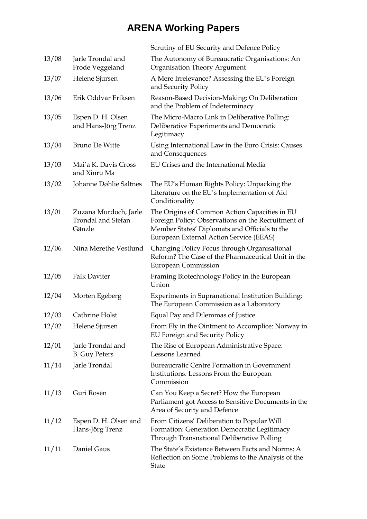|       |                                                       | Scrutiny of EU Security and Defence Policy                                                                                                                                                      |
|-------|-------------------------------------------------------|-------------------------------------------------------------------------------------------------------------------------------------------------------------------------------------------------|
| 13/08 | Jarle Trondal and<br>Frode Veggeland                  | The Autonomy of Bureaucratic Organisations: An<br><b>Organisation Theory Argument</b>                                                                                                           |
| 13/07 | Helene Sjursen                                        | A Mere Irrelevance? Assessing the EU's Foreign<br>and Security Policy                                                                                                                           |
| 13/06 | Erik Oddvar Eriksen                                   | Reason-Based Decision-Making: On Deliberation<br>and the Problem of Indeterminacy                                                                                                               |
| 13/05 | Espen D. H. Olsen<br>and Hans-Jörg Trenz              | The Micro-Macro Link in Deliberative Polling:<br>Deliberative Experiments and Democratic<br>Legitimacy                                                                                          |
| 13/04 | <b>Bruno De Witte</b>                                 | Using International Law in the Euro Crisis: Causes<br>and Consequences                                                                                                                          |
| 13/03 | Mai'a K. Davis Cross<br>and Xinru Ma                  | EU Crises and the International Media                                                                                                                                                           |
| 13/02 | Johanne Døhlie Saltnes                                | The EU's Human Rights Policy: Unpacking the<br>Literature on the EU's Implementation of Aid<br>Conditionality                                                                                   |
| 13/01 | Zuzana Murdoch, Jarle<br>Trondal and Stefan<br>Gänzle | The Origins of Common Action Capacities in EU<br>Foreign Policy: Observations on the Recruitment of<br>Member States' Diplomats and Officials to the<br>European External Action Service (EEAS) |
| 12/06 | Nina Merethe Vestlund                                 | Changing Policy Focus through Organisational<br>Reform? The Case of the Pharmaceutical Unit in the<br><b>European Commission</b>                                                                |
| 12/05 | <b>Falk Daviter</b>                                   | Framing Biotechnology Policy in the European<br>Union                                                                                                                                           |
| 12/04 | Morten Egeberg                                        | Experiments in Supranational Institution Building:<br>The European Commission as a Laboratory                                                                                                   |
| 12/03 | Cathrine Holst                                        | Equal Pay and Dilemmas of Justice                                                                                                                                                               |
| 12/02 | Helene Sjursen                                        | From Fly in the Ointment to Accomplice: Norway in<br>EU Foreign and Security Policy                                                                                                             |
| 12/01 | Jarle Trondal and<br><b>B.</b> Guy Peters             | The Rise of European Administrative Space:<br>Lessons Learned                                                                                                                                   |
| 11/14 | Jarle Trondal                                         | <b>Bureaucratic Centre Formation in Government</b><br>Institutions: Lessons From the European<br>Commission                                                                                     |
| 11/13 | Guri Rosén                                            | Can You Keep a Secret? How the European<br>Parliament got Access to Sensitive Documents in the<br>Area of Security and Defence                                                                  |
| 11/12 | Espen D. H. Olsen and<br>Hans-Jörg Trenz              | From Citizens' Deliberation to Popular Will<br>Formation: Generation Democratic Legitimacy<br>Through Transnational Deliberative Polling                                                        |
| 11/11 | Daniel Gaus                                           | The State's Existence Between Facts and Norms: A<br>Reflection on Some Problems to the Analysis of the<br><b>State</b>                                                                          |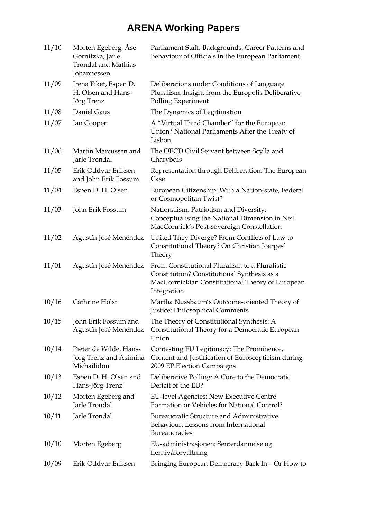| 11/10 | Morten Egeberg, Åse<br>Gornitzka, Jarle<br><b>Trondal and Mathias</b><br>Johannessen | Parliament Staff: Backgrounds, Career Patterns and<br>Behaviour of Officials in the European Parliament                                                         |
|-------|--------------------------------------------------------------------------------------|-----------------------------------------------------------------------------------------------------------------------------------------------------------------|
| 11/09 | Irena Fiket, Espen D.<br>H. Olsen and Hans-<br>Jörg Trenz                            | Deliberations under Conditions of Language<br>Pluralism: Insight from the Europolis Deliberative<br>Polling Experiment                                          |
| 11/08 | Daniel Gaus                                                                          | The Dynamics of Legitimation                                                                                                                                    |
| 11/07 | Ian Cooper                                                                           | A "Virtual Third Chamber" for the European<br>Union? National Parliaments After the Treaty of<br>Lisbon                                                         |
| 11/06 | Martin Marcussen and<br>Jarle Trondal                                                | The OECD Civil Servant between Scylla and<br>Charybdis                                                                                                          |
| 11/05 | Erik Oddvar Eriksen<br>and John Erik Fossum                                          | Representation through Deliberation: The European<br>Case                                                                                                       |
| 11/04 | Espen D. H. Olsen                                                                    | European Citizenship: With a Nation-state, Federal<br>or Cosmopolitan Twist?                                                                                    |
| 11/03 | John Erik Fossum                                                                     | Nationalism, Patriotism and Diversity:<br>Conceptualising the National Dimension in Neil<br>MacCormick's Post-sovereign Constellation                           |
| 11/02 | Agustín José Menéndez                                                                | United They Diverge? From Conflicts of Law to<br>Constitutional Theory? On Christian Joerges'<br>Theory                                                         |
| 11/01 | Agustín José Menéndez                                                                | From Constitutional Pluralism to a Pluralistic<br>Constitution? Constitutional Synthesis as a<br>MacCormickian Constitutional Theory of European<br>Integration |
| 10/16 | Cathrine Holst                                                                       | Martha Nussbaum's Outcome-oriented Theory of<br>Justice: Philosophical Comments                                                                                 |
| 10/15 | John Erik Fossum and<br>Agustín José Menéndez                                        | The Theory of Constitutional Synthesis: A<br>Constitutional Theory for a Democratic European<br>Union                                                           |
| 10/14 | Pieter de Wilde, Hans-<br>Jörg Trenz and Asimina<br>Michailidou                      | Contesting EU Legitimacy: The Prominence,<br>Content and Justification of Euroscepticism during<br>2009 EP Election Campaigns                                   |
| 10/13 | Espen D. H. Olsen and<br>Hans-Jörg Trenz                                             | Deliberative Polling: A Cure to the Democratic<br>Deficit of the EU?                                                                                            |
| 10/12 | Morten Egeberg and<br>Jarle Trondal                                                  | <b>EU-level Agencies: New Executive Centre</b><br>Formation or Vehicles for National Control?                                                                   |
| 10/11 | Jarle Trondal                                                                        | Bureaucratic Structure and Administrative<br>Behaviour: Lessons from International<br>Bureaucracies                                                             |
| 10/10 | Morten Egeberg                                                                       | EU-administrasjonen: Senterdannelse og<br>flernivåforvaltning                                                                                                   |
| 10/09 | Erik Oddvar Eriksen                                                                  | Bringing European Democracy Back In - Or How to                                                                                                                 |